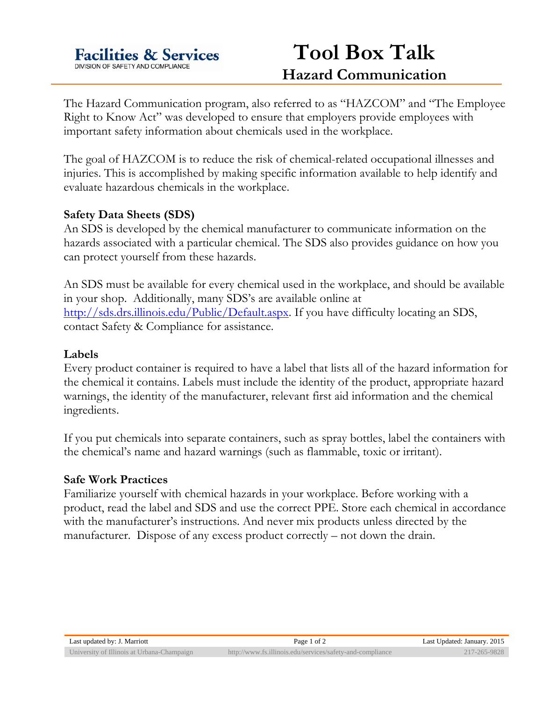

# **Tool Box Talk Hazard Communication**

The Hazard Communication program, also referred to as "HAZCOM" and "The Employee Right to Know Act" was developed to ensure that employers provide employees with important safety information about chemicals used in the workplace.

The goal of HAZCOM is to reduce the risk of chemical-related occupational illnesses and injuries. This is accomplished by making specific information available to help identify and evaluate hazardous chemicals in the workplace.

### **Safety Data Sheets (SDS)**

An SDS is developed by the chemical manufacturer to communicate information on the hazards associated with a particular chemical. The SDS also provides guidance on how you can protect yourself from these hazards.

An SDS must be available for every chemical used in the workplace, and should be available in your shop. Additionally, many SDS's are available online at http://sds.drs.illinois.edu/Public/Default.aspx. If you have difficulty locating an SDS, contact Safety & Compliance for assistance.

#### **Labels**

Every product container is required to have a label that lists all of the hazard information for the chemical it contains. Labels must include the identity of the product, appropriate hazard warnings, the identity of the manufacturer, relevant first aid information and the chemical ingredients.

If you put chemicals into separate containers, such as spray bottles, label the containers with the chemical's name and hazard warnings (such as flammable, toxic or irritant).

#### **Safe Work Practices**

Familiarize yourself with chemical hazards in your workplace. Before working with a product, read the label and SDS and use the correct PPE. Store each chemical in accordance with the manufacturer's instructions. And never mix products unless directed by the manufacturer. Dispose of any excess product correctly – not down the drain.